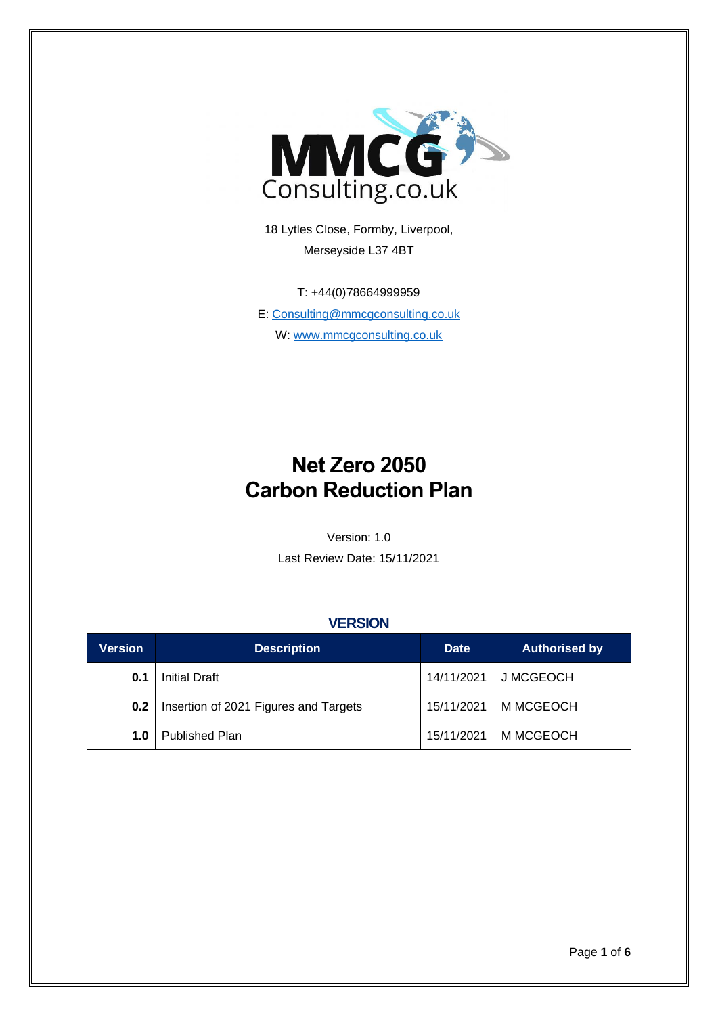

18 Lytles Close, Formby, Liverpool, Merseyside L37 4BT

T: +44(0)78664999959 E: [Consulting@mmcgconsulting.co.uk](mailto:Consulting@mmcgconsulting.co.uk) W: [www.mmcgconsulting.co.uk](http://www.mmcgconsulting.co.uk/)

# **Net Zero 2050 Carbon Reduction Plan**

Version: 1.0

Last Review Date: 15/11/2021

#### **VERSION**

| <b>Version</b> | <b>Description</b>                    | <b>Date</b> | <b>Authorised by</b> |  |
|----------------|---------------------------------------|-------------|----------------------|--|
| 0.1            | Initial Draft                         | 14/11/2021  | J MCGEOCH            |  |
| 0.2            | Insertion of 2021 Figures and Targets | 15/11/2021  | M MCGEOCH            |  |
| 1.0            | Published Plan                        | 15/11/2021  | M MCGEOCH            |  |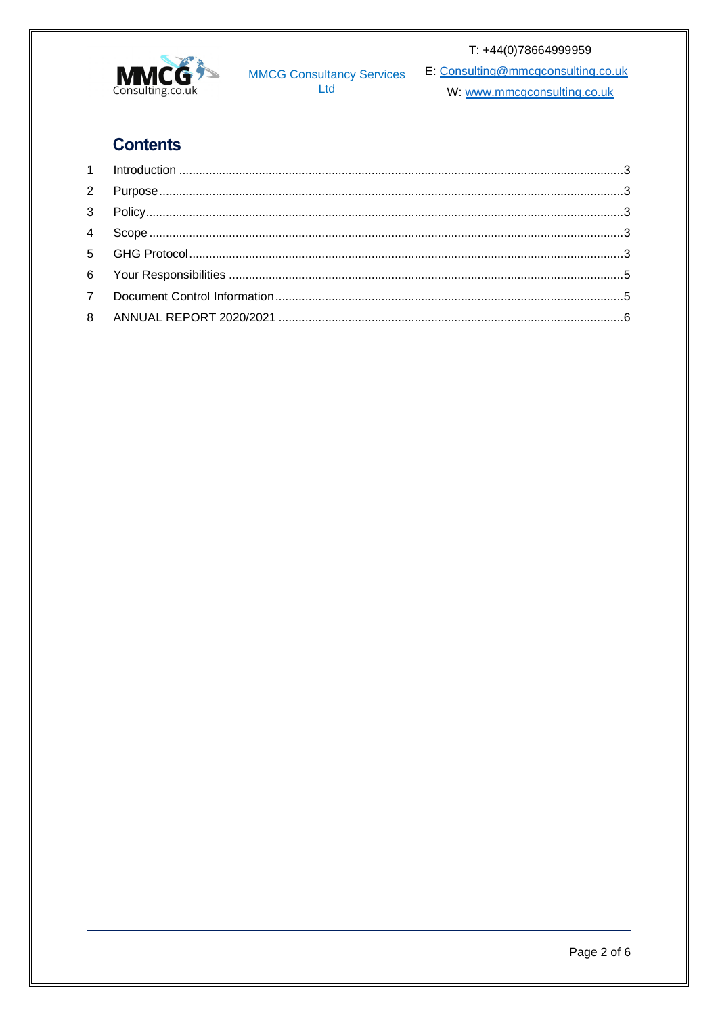

**MMCG Consultancy Services**<br>Ltd

T: +44(0)78664999959

E: Consulting@mmcgconsulting.co.uk

W: www.mmcgconsulting.co.uk

# **Contents**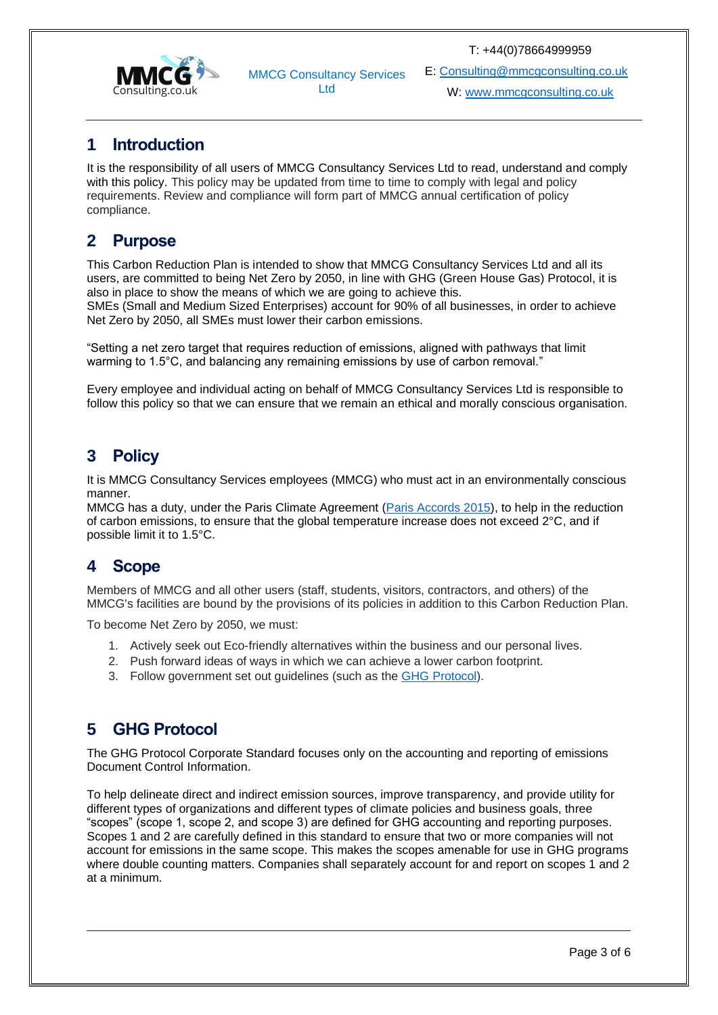T: +44(0)78664999959



MMCG Consultancy Services Ltd

E: [Consulting@mmcgconsulting.co.uk](mailto:Consulting@mmcgconsulting.co.uk)

W[: www.mmcgconsulting.co.uk](http://www.mmcgconsulting.co.uk/)

## <span id="page-2-0"></span>**1 Introduction**

It is the responsibility of all users of MMCG Consultancy Services Ltd to read, understand and comply with this policy. This policy may be updated from time to time to comply with legal and policy requirements. Review and compliance will form part of MMCG annual certification of policy compliance.

## <span id="page-2-1"></span>**2 Purpose**

This Carbon Reduction Plan is intended to show that MMCG Consultancy Services Ltd and all its users, are committed to being Net Zero by 2050, in line with GHG (Green House Gas) Protocol, it is also in place to show the means of which we are going to achieve this.

SMEs (Small and Medium Sized Enterprises) account for 90% of all businesses, in order to achieve Net Zero by 2050, all SMEs must lower their carbon emissions.

"Setting a net zero target that requires reduction of emissions, aligned with pathways that limit warming to 1.5°C, and balancing any remaining emissions by use of carbon removal."

Every employee and individual acting on behalf of MMCG Consultancy Services Ltd is responsible to follow this policy so that we can ensure that we remain an ethical and morally conscious organisation.

## <span id="page-2-2"></span>**3 Policy**

It is MMCG Consultancy Services employees (MMCG) who must act in an environmentally conscious manner.

MMCG has a duty, under the Paris Climate Agreement [\(Paris Accords 2015\)](https://www.un.org/en/climatechange/paris-agreement), to help in the reduction of carbon emissions, to ensure that the global temperature increase does not exceed 2°C, and if possible limit it to 1.5°C.

## <span id="page-2-3"></span>**4 Scope**

Members of MMCG and all other users (staff, students, visitors, contractors, and others) of the MMCG's facilities are bound by the provisions of its policies in addition to this Carbon Reduction Plan.

To become Net Zero by 2050, we must:

- 1. Actively seek out Eco-friendly alternatives within the business and our personal lives.
- 2. Push forward ideas of ways in which we can achieve a lower carbon footprint.
- 3. Follow government set out guidelines (such as the [GHG Protocol\)](https://ghgprotocol.org/sites/default/files/standards/ghg-protocol-revised.pdf).

## <span id="page-2-4"></span>**5 GHG Protocol**

The GHG Protocol Corporate Standard focuses only on the accounting and reporting of emissions Document Control Information.

To help delineate direct and indirect emission sources, improve transparency, and provide utility for different types of organizations and different types of climate policies and business goals, three "scopes" (scope 1, scope 2, and scope 3) are defined for GHG accounting and reporting purposes. Scopes 1 and 2 are carefully defined in this standard to ensure that two or more companies will not account for emissions in the same scope. This makes the scopes amenable for use in GHG programs where double counting matters. Companies shall separately account for and report on scopes 1 and 2 at a minimum.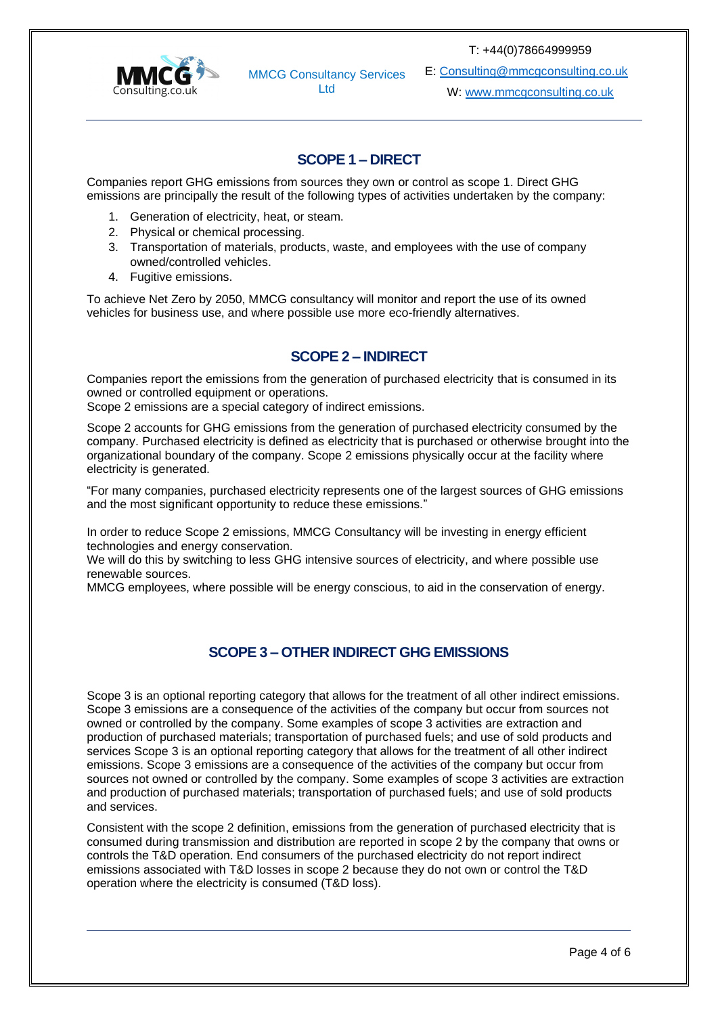

MMCG Consultancy Services Ltd

E: [Consulting@mmcgconsulting.co.uk](mailto:Consulting@mmcgconsulting.co.uk)

W[: www.mmcgconsulting.co.uk](http://www.mmcgconsulting.co.uk/)

#### **SCOPE 1 – DIRECT**

Companies report GHG emissions from sources they own or control as scope 1. Direct GHG emissions are principally the result of the following types of activities undertaken by the company:

- 1. Generation of electricity, heat, or steam.
- 2. Physical or chemical processing.
- 3. Transportation of materials, products, waste, and employees with the use of company owned/controlled vehicles.
- 4. Fugitive emissions.

To achieve Net Zero by 2050, MMCG consultancy will monitor and report the use of its owned vehicles for business use, and where possible use more eco-friendly alternatives.

#### **SCOPE 2 – INDIRECT**

Companies report the emissions from the generation of purchased electricity that is consumed in its owned or controlled equipment or operations.

Scope 2 emissions are a special category of indirect emissions.

Scope 2 accounts for GHG emissions from the generation of purchased electricity consumed by the company. Purchased electricity is defined as electricity that is purchased or otherwise brought into the organizational boundary of the company. Scope 2 emissions physically occur at the facility where electricity is generated.

"For many companies, purchased electricity represents one of the largest sources of GHG emissions and the most significant opportunity to reduce these emissions."

In order to reduce Scope 2 emissions, MMCG Consultancy will be investing in energy efficient technologies and energy conservation.

We will do this by switching to less GHG intensive sources of electricity, and where possible use renewable sources.

MMCG employees, where possible will be energy conscious, to aid in the conservation of energy.

#### **SCOPE 3 – OTHER INDIRECT GHG EMISSIONS**

Scope 3 is an optional reporting category that allows for the treatment of all other indirect emissions. Scope 3 emissions are a consequence of the activities of the company but occur from sources not owned or controlled by the company. Some examples of scope 3 activities are extraction and production of purchased materials; transportation of purchased fuels; and use of sold products and services Scope 3 is an optional reporting category that allows for the treatment of all other indirect emissions. Scope 3 emissions are a consequence of the activities of the company but occur from sources not owned or controlled by the company. Some examples of scope 3 activities are extraction and production of purchased materials; transportation of purchased fuels; and use of sold products and services.

Consistent with the scope 2 definition, emissions from the generation of purchased electricity that is consumed during transmission and distribution are reported in scope 2 by the company that owns or controls the T&D operation. End consumers of the purchased electricity do not report indirect emissions associated with T&D losses in scope 2 because they do not own or control the T&D operation where the electricity is consumed (T&D loss).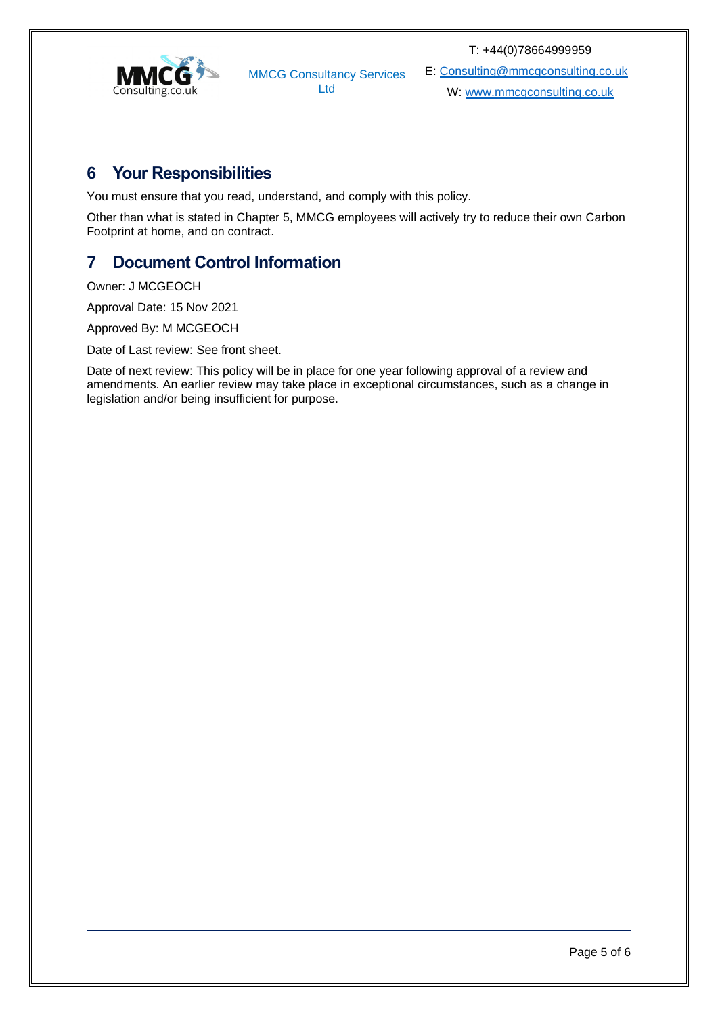

MMCG Consultancy Services Ltd

E: [Consulting@mmcgconsulting.co.uk](mailto:Consulting@mmcgconsulting.co.uk)

W[: www.mmcgconsulting.co.uk](http://www.mmcgconsulting.co.uk/)

### <span id="page-4-0"></span>**6 Your Responsibilities**

You must ensure that you read, understand, and comply with this policy.

Other than what is stated in Chapter 5, MMCG employees will actively try to reduce their own Carbon Footprint at home, and on contract.

## <span id="page-4-1"></span>**7 Document Control Information**

Owner: J MCGEOCH

Approval Date: 15 Nov 2021

Approved By: M MCGEOCH

Date of Last review: See front sheet.

Date of next review: This policy will be in place for one year following approval of a review and amendments. An earlier review may take place in exceptional circumstances, such as a change in legislation and/or being insufficient for purpose.